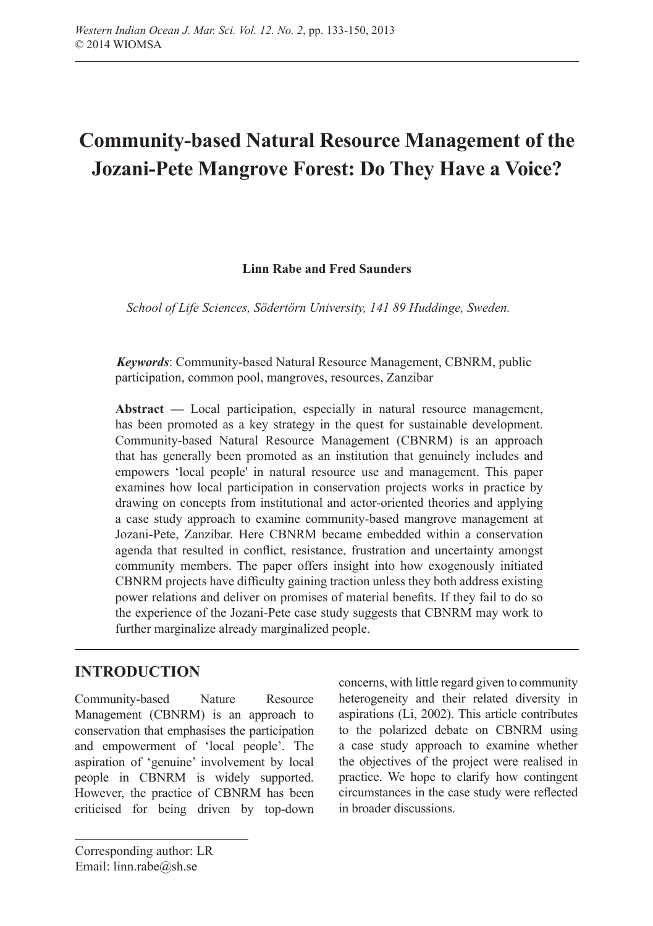# **Community-based Natural Resource Management of the Jozani-Pete Mangrove Forest: Do They Have a Voice?**

#### **Linn Rabe and Fred Saunders**

*School of Life Sciences, Södertörn University, 141 89 Huddinge, Sweden.*

*Keywords*: Community-based Natural Resource Management, CBNRM, public participation, common pool, mangroves, resources, Zanzibar

**Abstract —** Local participation, especially in natural resource management, has been promoted as a key strategy in the quest for sustainable development. Community-based Natural Resource Management (CBNRM) is an approach that has generally been promoted as an institution that genuinely includes and empowers 'local people' in natural resource use and management. This paper examines how local participation in conservation projects works in practice by drawing on concepts from institutional and actor-oriented theories and applying a case study approach to examine community-based mangrove management at Jozani-Pete, Zanzibar. Here CBNRM became embedded within a conservation agenda that resulted in conflict, resistance, frustration and uncertainty amongst community members. The paper offers insight into how exogenously initiated CBNRM projects have difficulty gaining traction unless they both address existing power relations and deliver on promises of material benefits. If they fail to do so the experience of the Jozani-Pete case study suggests that CBNRM may work to further marginalize already marginalized people.

# **INTRODUCTION**

Community-based Nature Resource Management (CBNRM) is an approach to conservation that emphasises the participation and empowerment of 'local people'. The aspiration of 'genuine' involvement by local people in CBNRM is widely supported. However, the practice of CBNRM has been criticised for being driven by top-down

concerns, with little regard given to community heterogeneity and their related diversity in aspirations (Li, 2002). This article contributes to the polarized debate on CBNRM using a case study approach to examine whether the objectives of the project were realised in practice. We hope to clarify how contingent circumstances in the case study were reflected in broader discussions.

Corresponding author: LR Email: [linn.rabe@sh.se](mailto:linn.rabe%40sh.se?subject=)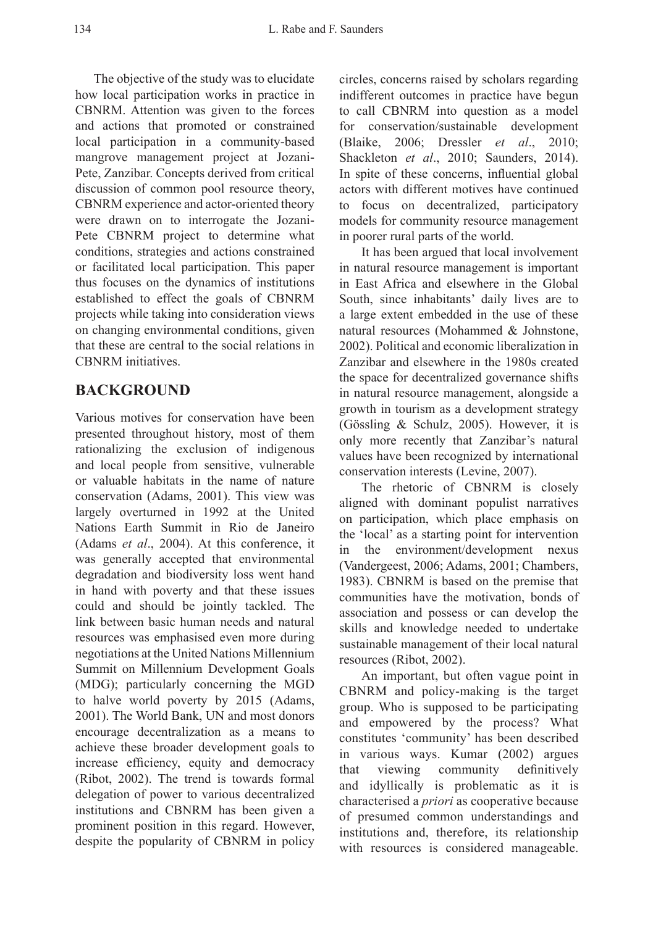The objective of the study was to elucidate how local participation works in practice in CBNRM. Attention was given to the forces and actions that promoted or constrained local participation in a community-based mangrove management project at Jozani-Pete, Zanzibar. Concepts derived from critical discussion of common pool resource theory, CBNRM experience and actor-oriented theory were drawn on to interrogate the Jozani-Pete CBNRM project to determine what conditions, strategies and actions constrained or facilitated local participation. This paper thus focuses on the dynamics of institutions established to effect the goals of CBNRM projects while taking into consideration views on changing environmental conditions, given that these are central to the social relations in CBNRM initiatives.

#### **BACKGROUND**

Various motives for conservation have been presented throughout history, most of them rationalizing the exclusion of indigenous and local people from sensitive, vulnerable or valuable habitats in the name of nature conservation (Adams, 2001). This view was largely overturned in 1992 at the United Nations Earth Summit in Rio de Janeiro (Adams *et al*., 2004). At this conference, it was generally accepted that environmental degradation and biodiversity loss went hand in hand with poverty and that these issues could and should be jointly tackled. The link between basic human needs and natural resources was emphasised even more during negotiations at the United Nations Millennium Summit on Millennium Development Goals (MDG); particularly concerning the MGD to halve world poverty by 2015 (Adams, 2001). The World Bank, UN and most donors encourage decentralization as a means to achieve these broader development goals to increase efficiency, equity and democracy (Ribot, 2002). The trend is towards formal delegation of power to various decentralized institutions and CBNRM has been given a prominent position in this regard. However, despite the popularity of CBNRM in policy

circles, concerns raised by scholars regarding indifferent outcomes in practice have begun to call CBNRM into question as a model for conservation/sustainable development (Blaike, 2006; Dressler *et al*., 2010; Shackleton *et al*., 2010; Saunders, 2014). In spite of these concerns, influential global actors with different motives have continued to focus on decentralized, participatory models for community resource management in poorer rural parts of the world.

It has been argued that local involvement in natural resource management is important in East Africa and elsewhere in the Global South, since inhabitants' daily lives are to a large extent embedded in the use of these natural resources (Mohammed & Johnstone, 2002). Political and economic liberalization in Zanzibar and elsewhere in the 1980s created the space for decentralized governance shifts in natural resource management, alongside a growth in tourism as a development strategy (Gössling & Schulz, 2005). However, it is only more recently that Zanzibar's natural values have been recognized by international conservation interests (Levine, 2007).

The rhetoric of CBNRM is closely aligned with dominant populist narratives on participation, which place emphasis on the 'local' as a starting point for intervention in the environment/development nexus (Vandergeest, 2006; Adams, 2001; Chambers, 1983). CBNRM is based on the premise that communities have the motivation, bonds of association and possess or can develop the skills and knowledge needed to undertake sustainable management of their local natural resources (Ribot, 2002).

An important, but often vague point in CBNRM and policy-making is the target group. Who is supposed to be participating and empowered by the process? What constitutes 'community' has been described in various ways. Kumar (2002) argues that viewing community definitively and idyllically is problematic as it is characterised a *priori* as cooperative because of presumed common understandings and institutions and, therefore, its relationship with resources is considered manageable.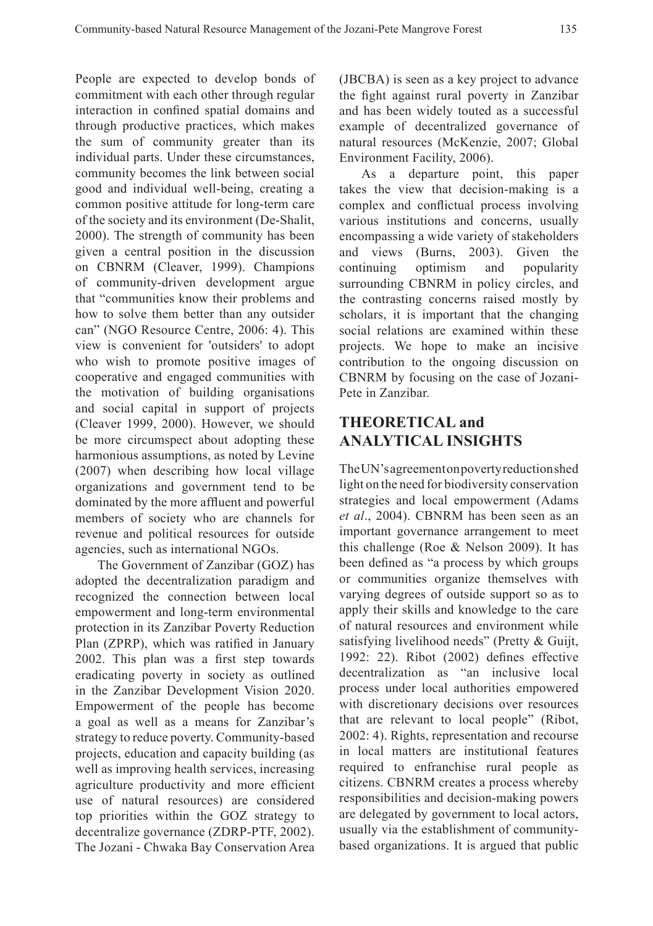People are expected to develop bonds of commitment with each other through regular interaction in confined spatial domains and through productive practices, which makes the sum of community greater than its individual parts. Under these circumstances, community becomes the link between social good and individual well-being, creating a common positive attitude for long-term care of the society and its environment (De-Shalit, 2000). The strength of community has been given a central position in the discussion on CBNRM (Cleaver, 1999). Champions of community-driven development argue that "communities know their problems and how to solve them better than any outsider can" (NGO Resource Centre, 2006: 4). This view is convenient for 'outsiders' to adopt who wish to promote positive images of cooperative and engaged communities with the motivation of building organisations and social capital in support of projects (Cleaver 1999, 2000). However, we should be more circumspect about adopting these harmonious assumptions, as noted by Levine (2007) when describing how local village organizations and government tend to be dominated by the more affluent and powerful members of society who are channels for revenue and political resources for outside agencies, such as international NGOs.

The Government of Zanzibar (GOZ) has adopted the decentralization paradigm and recognized the connection between local empowerment and long-term environmental protection in its Zanzibar Poverty Reduction Plan (ZPRP), which was ratified in January 2002. This plan was a first step towards eradicating poverty in society as outlined in the Zanzibar Development Vision 2020. Empowerment of the people has become a goal as well as a means for Zanzibar's strategy to reduce poverty. Community-based projects, education and capacity building (as well as improving health services, increasing agriculture productivity and more efficient use of natural resources) are considered top priorities within the GOZ strategy to decentralize governance (ZDRP-PTF, 2002). The Jozani - Chwaka Bay Conservation Area (JBCBA) is seen as a key project to advance the fight against rural poverty in Zanzibar and has been widely touted as a successful example of decentralized governance of natural resources (McKenzie, 2007; Global Environment Facility, 2006).

As a departure point, this paper takes the view that decision-making is a complex and conflictual process involving various institutions and concerns, usually encompassing a wide variety of stakeholders and views (Burns, 2003). Given the continuing optimism and popularity surrounding CBNRM in policy circles, and the contrasting concerns raised mostly by scholars, it is important that the changing social relations are examined within these projects. We hope to make an incisive contribution to the ongoing discussion on CBNRM by focusing on the case of Jozani-Pete in Zanzibar.

# **THEORETICAL and ANALYTICAL INSIGHTS**

The UN's agreement on poverty reduction shed light on the need for biodiversity conservation strategies and local empowerment (Adams *et al*., 2004). CBNRM has been seen as an important governance arrangement to meet this challenge (Roe & Nelson 2009). It has been defined as "a process by which groups or communities organize themselves with varying degrees of outside support so as to apply their skills and knowledge to the care of natural resources and environment while satisfying livelihood needs" (Pretty & Guijt, 1992: 22). Ribot (2002) defines effective decentralization as "an inclusive local process under local authorities empowered with discretionary decisions over resources that are relevant to local people" (Ribot, 2002: 4). Rights, representation and recourse in local matters are institutional features required to enfranchise rural people as citizens. CBNRM creates a process whereby responsibilities and decision-making powers are delegated by government to local actors, usually via the establishment of communitybased organizations. It is argued that public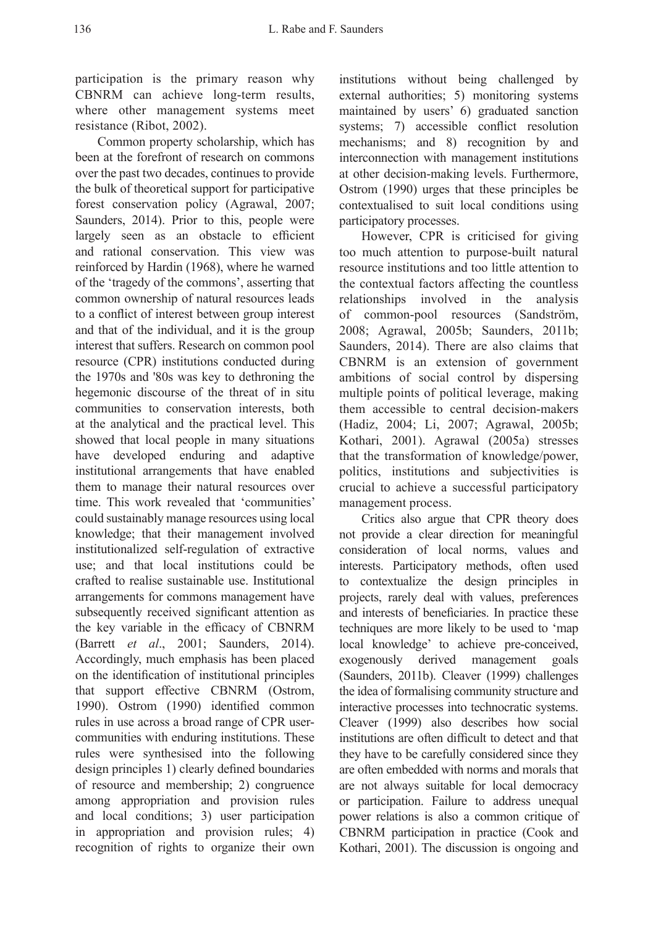participation is the primary reason why CBNRM can achieve long-term results, where other management systems meet resistance (Ribot, 2002).

Common property scholarship, which has been at the forefront of research on commons over the past two decades, continues to provide the bulk of theoretical support for participative forest conservation policy (Agrawal, 2007; Saunders, 2014). Prior to this, people were largely seen as an obstacle to efficient and rational conservation. This view was reinforced by Hardin (1968), where he warned of the 'tragedy of the commons', asserting that common ownership of natural resources leads to a conflict of interest between group interest and that of the individual, and it is the group interest that suffers. Research on common pool resource (CPR) institutions conducted during the 1970s and '80s was key to dethroning the hegemonic discourse of the threat of in situ communities to conservation interests, both at the analytical and the practical level. This showed that local people in many situations have developed enduring and adaptive institutional arrangements that have enabled them to manage their natural resources over time. This work revealed that 'communities' could sustainably manage resources using local knowledge; that their management involved institutionalized self-regulation of extractive use; and that local institutions could be crafted to realise sustainable use. Institutional arrangements for commons management have subsequently received significant attention as the key variable in the efficacy of CBNRM (Barrett *et al*., 2001; Saunders, 2014). Accordingly, much emphasis has been placed on the identification of institutional principles that support effective CBNRM (Ostrom, 1990). Ostrom (1990) identified common rules in use across a broad range of CPR usercommunities with enduring institutions. These rules were synthesised into the following design principles 1) clearly defined boundaries of resource and membership; 2) congruence among appropriation and provision rules and local conditions; 3) user participation in appropriation and provision rules; 4) recognition of rights to organize their own

institutions without being challenged by external authorities; 5) monitoring systems maintained by users' 6) graduated sanction systems; 7) accessible conflict resolution mechanisms; and 8) recognition by and interconnection with management institutions at other decision-making levels. Furthermore, Ostrom (1990) urges that these principles be contextualised to suit local conditions using participatory processes.

However, CPR is criticised for giving too much attention to purpose-built natural resource institutions and too little attention to the contextual factors affecting the countless relationships involved in the analysis of common-pool resources (Sandström, 2008; Agrawal, 2005b; Saunders, 2011b; Saunders, 2014). There are also claims that CBNRM is an extension of government ambitions of social control by dispersing multiple points of political leverage, making them accessible to central decision-makers (Hadiz, 2004; Li, 2007; Agrawal, 2005b; Kothari, 2001). Agrawal (2005a) stresses that the transformation of knowledge/power, politics, institutions and subjectivities is crucial to achieve a successful participatory management process.

Critics also argue that CPR theory does not provide a clear direction for meaningful consideration of local norms, values and interests. Participatory methods, often used to contextualize the design principles in projects, rarely deal with values, preferences and interests of beneficiaries. In practice these techniques are more likely to be used to 'map local knowledge' to achieve pre-conceived, exogenously derived management goals (Saunders, 2011b). Cleaver (1999) challenges the idea of formalising community structure and interactive processes into technocratic systems. Cleaver (1999) also describes how social institutions are often difficult to detect and that they have to be carefully considered since they are often embedded with norms and morals that are not always suitable for local democracy or participation. Failure to address unequal power relations is also a common critique of CBNRM participation in practice (Cook and Kothari, 2001). The discussion is ongoing and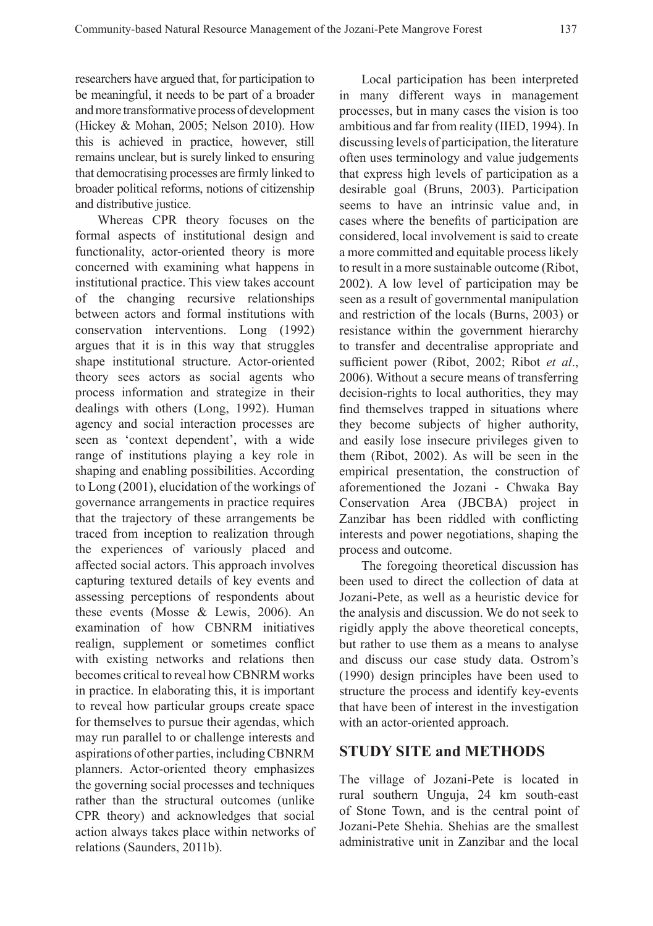researchers have argued that, for participation to be meaningful, it needs to be part of a broader and more transformative process of development (Hickey & Mohan, 2005; Nelson 2010). How this is achieved in practice, however, still remains unclear, but is surely linked to ensuring that democratising processes are firmly linked to broader political reforms, notions of citizenship and distributive justice.

Whereas CPR theory focuses on the formal aspects of institutional design and functionality, actor-oriented theory is more concerned with examining what happens in institutional practice. This view takes account of the changing recursive relationships between actors and formal institutions with conservation interventions. Long (1992) argues that it is in this way that struggles shape institutional structure. Actor-oriented theory sees actors as social agents who process information and strategize in their dealings with others (Long, 1992). Human agency and social interaction processes are seen as 'context dependent', with a wide range of institutions playing a key role in shaping and enabling possibilities. According to Long (2001), elucidation of the workings of governance arrangements in practice requires that the trajectory of these arrangements be traced from inception to realization through the experiences of variously placed and affected social actors. This approach involves capturing textured details of key events and assessing perceptions of respondents about these events (Mosse & Lewis, 2006). An examination of how CBNRM initiatives realign, supplement or sometimes conflict with existing networks and relations then becomes critical to reveal how CBNRM works in practice. In elaborating this, it is important to reveal how particular groups create space for themselves to pursue their agendas, which may run parallel to or challenge interests and aspirations of other parties, including CBNRM planners. Actor-oriented theory emphasizes the governing social processes and techniques rather than the structural outcomes (unlike CPR theory) and acknowledges that social action always takes place within networks of relations (Saunders, 2011b).

Local participation has been interpreted in many different ways in management processes, but in many cases the vision is too ambitious and far from reality (IIED, 1994). In discussing levels of participation, the literature often uses terminology and value judgements that express high levels of participation as a desirable goal (Bruns, 2003). Participation seems to have an intrinsic value and, in cases where the benefits of participation are considered, local involvement is said to create a more committed and equitable process likely to result in a more sustainable outcome (Ribot, 2002). A low level of participation may be seen as a result of governmental manipulation and restriction of the locals (Burns, 2003) or resistance within the government hierarchy to transfer and decentralise appropriate and sufficient power (Ribot, 2002; Ribot *et al*., 2006). Without a secure means of transferring decision-rights to local authorities, they may find themselves trapped in situations where they become subjects of higher authority, and easily lose insecure privileges given to them (Ribot, 2002). As will be seen in the empirical presentation, the construction of aforementioned the Jozani - Chwaka Bay Conservation Area (JBCBA) project in Zanzibar has been riddled with conflicting interests and power negotiations, shaping the process and outcome.

The foregoing theoretical discussion has been used to direct the collection of data at Jozani-Pete, as well as a heuristic device for the analysis and discussion. We do not seek to rigidly apply the above theoretical concepts, but rather to use them as a means to analyse and discuss our case study data. Ostrom's (1990) design principles have been used to structure the process and identify key-events that have been of interest in the investigation with an actor-oriented approach.

#### **STUDY SITE and METHODS**

The village of Jozani-Pete is located in rural southern Unguja, 24 km south-east of Stone Town, and is the central point of Jozani-Pete Shehia. Shehias are the smallest administrative unit in Zanzibar and the local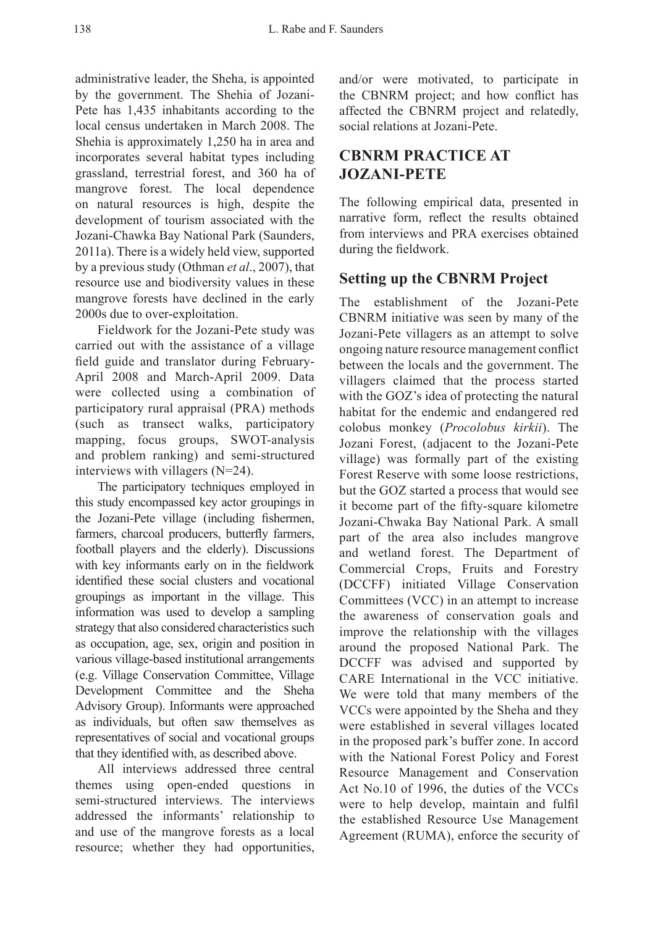administrative leader, the Sheha, is appointed by the government. The Shehia of Jozani-Pete has 1,435 inhabitants according to the local census undertaken in March 2008. The Shehia is approximately 1,250 ha in area and incorporates several habitat types including grassland, terrestrial forest, and 360 ha of mangrove forest. The local dependence on natural resources is high, despite the development of tourism associated with the Jozani-Chawka Bay National Park (Saunders, 2011a). There is a widely held view, supported by a previous study (Othman *et al*., 2007), that resource use and biodiversity values in these mangrove forests have declined in the early 2000s due to over-exploitation.

Fieldwork for the Jozani-Pete study was carried out with the assistance of a village field guide and translator during February-April 2008 and March-April 2009. Data were collected using a combination of participatory rural appraisal (PRA) methods (such as transect walks, participatory mapping, focus groups, SWOT-analysis and problem ranking) and semi-structured interviews with villagers (N=24).

The participatory techniques employed in this study encompassed key actor groupings in the Jozani-Pete village (including fishermen, farmers, charcoal producers, butterfly farmers, football players and the elderly). Discussions with key informants early on in the fieldwork identified these social clusters and vocational groupings as important in the village. This information was used to develop a sampling strategy that also considered characteristics such as occupation, age, sex, origin and position in various village-based institutional arrangements (e.g. Village Conservation Committee, Village Development Committee and the Sheha Advisory Group). Informants were approached as individuals, but often saw themselves as representatives of social and vocational groups that they identified with, as described above.

All interviews addressed three central themes using open-ended questions in semi-structured interviews. The interviews addressed the informants' relationship to and use of the mangrove forests as a local resource; whether they had opportunities, and/or were motivated, to participate in the CBNRM project; and how conflict has affected the CBNRM project and relatedly, social relations at Jozani-Pete.

# **CBNRM PRACTICE AT JOZANI-PETE**

The following empirical data, presented in narrative form, reflect the results obtained from interviews and PRA exercises obtained during the fieldwork.

# **Setting up the CBNRM Project**

The establishment of the Jozani-Pete CBNRM initiative was seen by many of the Jozani-Pete villagers as an attempt to solve ongoing nature resource management conflict between the locals and the government. The villagers claimed that the process started with the GOZ's idea of protecting the natural habitat for the endemic and endangered red colobus monkey (*Procolobus kirkii*). The Jozani Forest, (adjacent to the Jozani-Pete village) was formally part of the existing Forest Reserve with some loose restrictions, but the GOZ started a process that would see it become part of the fifty-square kilometre Jozani-Chwaka Bay National Park. A small part of the area also includes mangrove and wetland forest. The Department of Commercial Crops, Fruits and Forestry (DCCFF) initiated Village Conservation Committees (VCC) in an attempt to increase the awareness of conservation goals and improve the relationship with the villages around the proposed National Park. The DCCFF was advised and supported by CARE International in the VCC initiative. We were told that many members of the VCCs were appointed by the Sheha and they were established in several villages located in the proposed park's buffer zone. In accord with the National Forest Policy and Forest Resource Management and Conservation Act No.10 of 1996, the duties of the VCCs were to help develop, maintain and fulfil the established Resource Use Management Agreement (RUMA), enforce the security of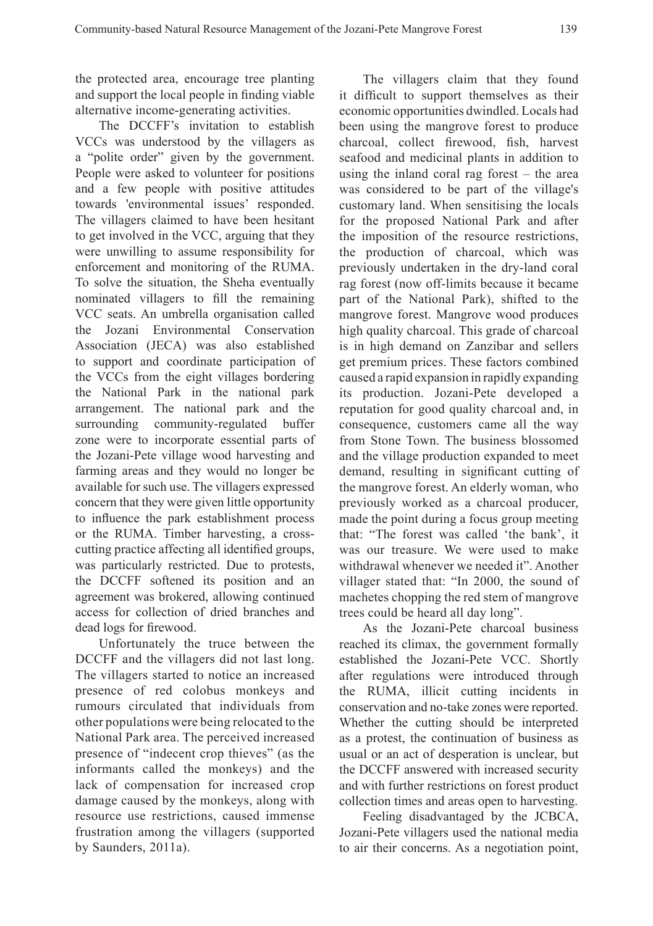the protected area, encourage tree planting and support the local people in finding viable alternative income-generating activities.

The DCCFF's invitation to establish VCCs was understood by the villagers as a "polite order" given by the government. People were asked to volunteer for positions and a few people with positive attitudes towards 'environmental issues' responded. The villagers claimed to have been hesitant to get involved in the VCC, arguing that they were unwilling to assume responsibility for enforcement and monitoring of the RUMA. To solve the situation, the Sheha eventually nominated villagers to fill the remaining VCC seats. An umbrella organisation called the Jozani Environmental Conservation Association (JECA) was also established to support and coordinate participation of the VCCs from the eight villages bordering the National Park in the national park arrangement. The national park and the surrounding community-regulated buffer zone were to incorporate essential parts of the Jozani-Pete village wood harvesting and farming areas and they would no longer be available for such use. The villagers expressed concern that they were given little opportunity to influence the park establishment process or the RUMA. Timber harvesting, a crosscutting practice affecting all identified groups, was particularly restricted. Due to protests, the DCCFF softened its position and an agreement was brokered, allowing continued access for collection of dried branches and dead logs for firewood.

Unfortunately the truce between the DCCFF and the villagers did not last long. The villagers started to notice an increased presence of red colobus monkeys and rumours circulated that individuals from other populations were being relocated to the National Park area. The perceived increased presence of "indecent crop thieves" (as the informants called the monkeys) and the lack of compensation for increased crop damage caused by the monkeys, along with resource use restrictions, caused immense frustration among the villagers (supported by Saunders, 2011a).

The villagers claim that they found it difficult to support themselves as their economic opportunities dwindled. Locals had been using the mangrove forest to produce charcoal, collect firewood, fish, harvest seafood and medicinal plants in addition to using the inland coral rag forest – the area was considered to be part of the village's customary land. When sensitising the locals for the proposed National Park and after the imposition of the resource restrictions, the production of charcoal, which was previously undertaken in the dry-land coral rag forest (now off-limits because it became part of the National Park), shifted to the mangrove forest. Mangrove wood produces high quality charcoal. This grade of charcoal is in high demand on Zanzibar and sellers get premium prices. These factors combined caused a rapid expansion in rapidly expanding its production. Jozani-Pete developed a reputation for good quality charcoal and, in consequence, customers came all the way from Stone Town. The business blossomed and the village production expanded to meet demand, resulting in significant cutting of the mangrove forest. An elderly woman, who previously worked as a charcoal producer, made the point during a focus group meeting that: "The forest was called 'the bank', it was our treasure. We were used to make withdrawal whenever we needed it". Another villager stated that: "In 2000, the sound of machetes chopping the red stem of mangrove trees could be heard all day long".

As the Jozani-Pete charcoal business reached its climax, the government formally established the Jozani-Pete VCC. Shortly after regulations were introduced through the RUMA, illicit cutting incidents in conservation and no-take zones were reported. Whether the cutting should be interpreted as a protest, the continuation of business as usual or an act of desperation is unclear, but the DCCFF answered with increased security and with further restrictions on forest product collection times and areas open to harvesting.

Feeling disadvantaged by the JCBCA, Jozani-Pete villagers used the national media to air their concerns. As a negotiation point,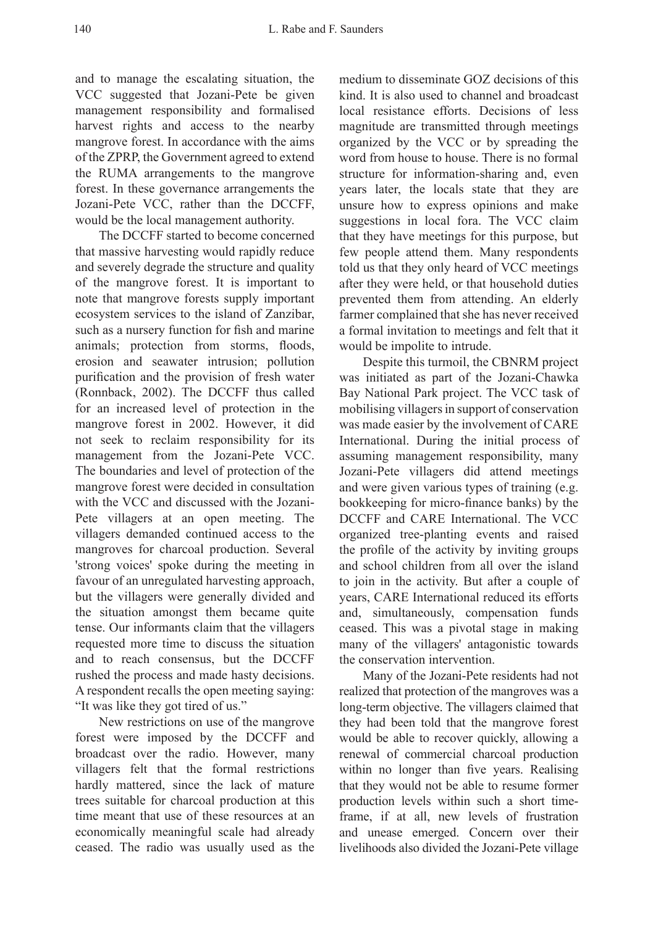and to manage the escalating situation, the VCC suggested that Jozani-Pete be given management responsibility and formalised harvest rights and access to the nearby mangrove forest. In accordance with the aims of the ZPRP, the Government agreed to extend the RUMA arrangements to the mangrove forest. In these governance arrangements the Jozani-Pete VCC, rather than the DCCFF, would be the local management authority.

The DCCFF started to become concerned that massive harvesting would rapidly reduce and severely degrade the structure and quality of the mangrove forest. It is important to note that mangrove forests supply important ecosystem services to the island of Zanzibar, such as a nursery function for fish and marine animals; protection from storms, floods, erosion and seawater intrusion; pollution purification and the provision of fresh water (Ronnback, 2002). The DCCFF thus called for an increased level of protection in the mangrove forest in 2002. However, it did not seek to reclaim responsibility for its management from the Jozani-Pete VCC. The boundaries and level of protection of the mangrove forest were decided in consultation with the VCC and discussed with the Jozani-Pete villagers at an open meeting. The villagers demanded continued access to the mangroves for charcoal production. Several 'strong voices' spoke during the meeting in favour of an unregulated harvesting approach, but the villagers were generally divided and the situation amongst them became quite tense. Our informants claim that the villagers requested more time to discuss the situation and to reach consensus, but the DCCFF rushed the process and made hasty decisions. A respondent recalls the open meeting saying: "It was like they got tired of us."

New restrictions on use of the mangrove forest were imposed by the DCCFF and broadcast over the radio. However, many villagers felt that the formal restrictions hardly mattered, since the lack of mature trees suitable for charcoal production at this time meant that use of these resources at an economically meaningful scale had already ceased. The radio was usually used as the medium to disseminate GOZ decisions of this kind. It is also used to channel and broadcast local resistance efforts. Decisions of less magnitude are transmitted through meetings organized by the VCC or by spreading the word from house to house. There is no formal structure for information-sharing and, even years later, the locals state that they are unsure how to express opinions and make suggestions in local fora. The VCC claim that they have meetings for this purpose, but few people attend them. Many respondents told us that they only heard of VCC meetings after they were held, or that household duties prevented them from attending. An elderly farmer complained that she has never received a formal invitation to meetings and felt that it would be impolite to intrude.

Despite this turmoil, the CBNRM project was initiated as part of the Jozani-Chawka Bay National Park project. The VCC task of mobilising villagers in support of conservation was made easier by the involvement of CARE International. During the initial process of assuming management responsibility, many Jozani-Pete villagers did attend meetings and were given various types of training (e.g. bookkeeping for micro-finance banks) by the DCCFF and CARE International. The VCC organized tree-planting events and raised the profile of the activity by inviting groups and school children from all over the island to join in the activity. But after a couple of years, CARE International reduced its efforts and, simultaneously, compensation funds ceased. This was a pivotal stage in making many of the villagers' antagonistic towards the conservation intervention.

Many of the Jozani-Pete residents had not realized that protection of the mangroves was a long-term objective. The villagers claimed that they had been told that the mangrove forest would be able to recover quickly, allowing a renewal of commercial charcoal production within no longer than five years. Realising that they would not be able to resume former production levels within such a short timeframe, if at all, new levels of frustration and unease emerged. Concern over their livelihoods also divided the Jozani-Pete village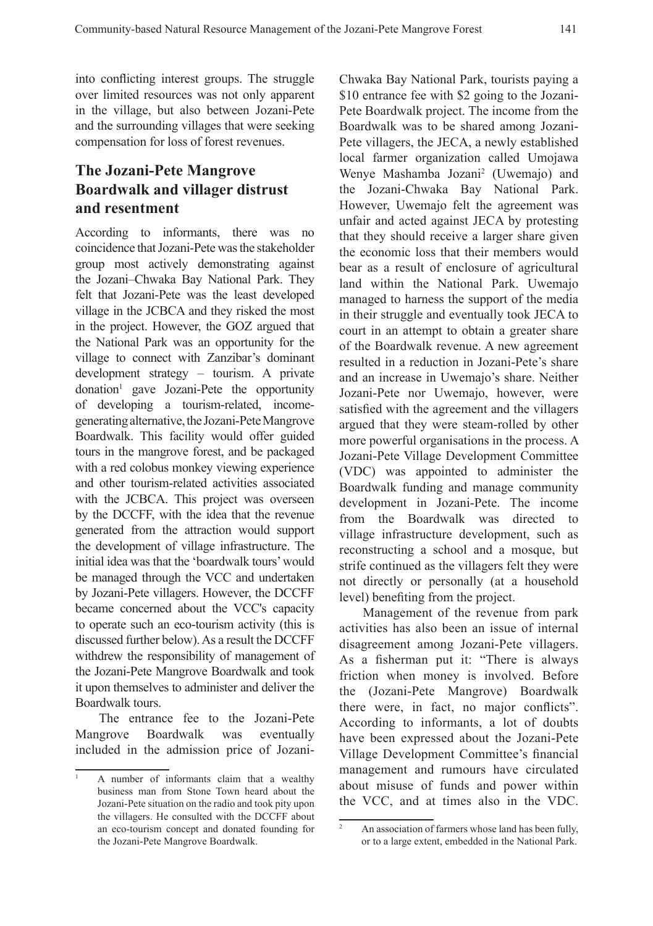into conflicting interest groups. The struggle over limited resources was not only apparent in the village, but also between Jozani-Pete and the surrounding villages that were seeking compensation for loss of forest revenues.

# **The Jozani-Pete Mangrove Boardwalk and villager distrust and resentment**

According to informants, there was no coincidence that Jozani-Pete was the stakeholder group most actively demonstrating against the Jozani–Chwaka Bay National Park. They felt that Jozani-Pete was the least developed village in the JCBCA and they risked the most in the project. However, the GOZ argued that the National Park was an opportunity for the village to connect with Zanzibar's dominant development strategy – tourism. A private donation1 gave Jozani-Pete the opportunity of developing a tourism-related, incomegenerating alternative, the Jozani-Pete Mangrove Boardwalk. This facility would offer guided tours in the mangrove forest, and be packaged with a red colobus monkey viewing experience and other tourism-related activities associated with the JCBCA. This project was overseen by the DCCFF, with the idea that the revenue generated from the attraction would support the development of village infrastructure. The initial idea was that the 'boardwalk tours' would be managed through the VCC and undertaken by Jozani-Pete villagers. However, the DCCFF became concerned about the VCC's capacity to operate such an eco-tourism activity (this is discussed further below). As a result the DCCFF withdrew the responsibility of management of the Jozani-Pete Mangrove Boardwalk and took it upon themselves to administer and deliver the Boardwalk tours.

The entrance fee to the Jozani-Pete Mangrove Boardwalk was eventually included in the admission price of JozaniChwaka Bay National Park, tourists paying a \$10 entrance fee with \$2 going to the Jozani-Pete Boardwalk project. The income from the Boardwalk was to be shared among Jozani-Pete villagers, the JECA, a newly established local farmer organization called Umojawa Wenye Mashamba Jozani<sup>2</sup> (Uwemajo) and the Jozani-Chwaka Bay National Park. However, Uwemajo felt the agreement was unfair and acted against JECA by protesting that they should receive a larger share given the economic loss that their members would bear as a result of enclosure of agricultural land within the National Park. Uwemajo managed to harness the support of the media in their struggle and eventually took JECA to court in an attempt to obtain a greater share of the Boardwalk revenue. A new agreement resulted in a reduction in Jozani-Pete's share and an increase in Uwemajo's share. Neither Jozani-Pete nor Uwemajo, however, were satisfied with the agreement and the villagers argued that they were steam-rolled by other more powerful organisations in the process. A Jozani-Pete Village Development Committee (VDC) was appointed to administer the Boardwalk funding and manage community development in Jozani-Pete. The income from the Boardwalk was directed to village infrastructure development, such as reconstructing a school and a mosque, but strife continued as the villagers felt they were not directly or personally (at a household level) benefiting from the project.

Management of the revenue from park activities has also been an issue of internal disagreement among Jozani-Pete villagers. As a fisherman put it: "There is always friction when money is involved. Before the (Jozani-Pete Mangrove) Boardwalk there were, in fact, no major conflicts". According to informants, a lot of doubts have been expressed about the Jozani-Pete Village Development Committee's financial management and rumours have circulated about misuse of funds and power within the VCC, and at times also in the VDC.

<sup>1</sup> A number of informants claim that a wealthy business man from Stone Town heard about the Jozani-Pete situation on the radio and took pity upon the villagers. He consulted with the DCCFF about an eco-tourism concept and donated founding for the Jozani-Pete Mangrove Boardwalk.

<sup>&</sup>lt;sup>2</sup> An association of farmers whose land has been fully, or to a large extent, embedded in the National Park.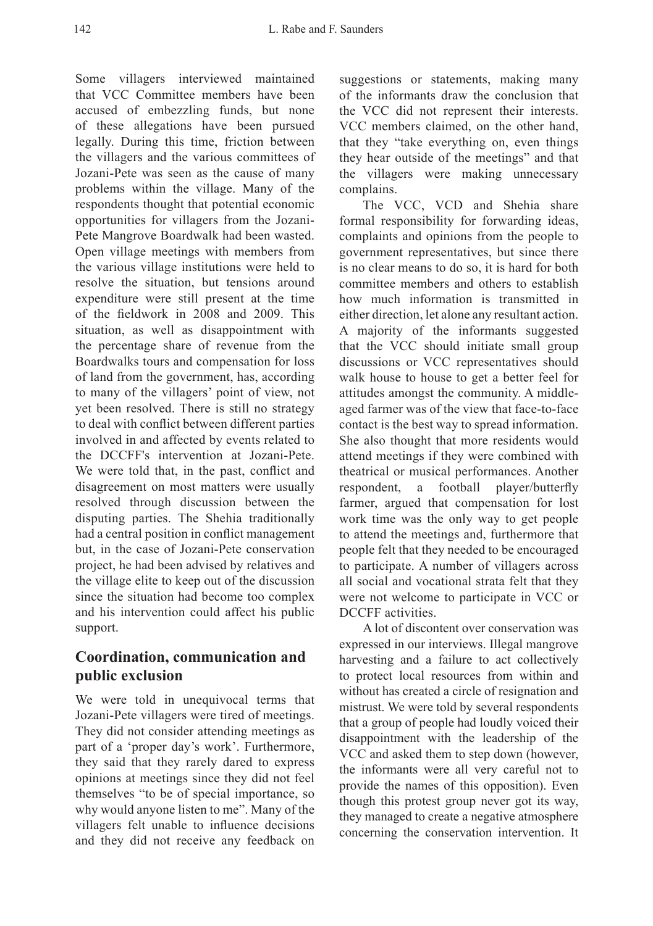Some villagers interviewed maintained that VCC Committee members have been accused of embezzling funds, but none of these allegations have been pursued legally. During this time, friction between the villagers and the various committees of Jozani-Pete was seen as the cause of many problems within the village. Many of the respondents thought that potential economic opportunities for villagers from the Jozani-Pete Mangrove Boardwalk had been wasted. Open village meetings with members from the various village institutions were held to resolve the situation, but tensions around expenditure were still present at the time of the fieldwork in 2008 and 2009. This situation, as well as disappointment with the percentage share of revenue from the Boardwalks tours and compensation for loss of land from the government, has, according to many of the villagers' point of view, not yet been resolved. There is still no strategy to deal with conflict between different parties involved in and affected by events related to the DCCFF's intervention at Jozani-Pete. We were told that, in the past, conflict and disagreement on most matters were usually resolved through discussion between the disputing parties. The Shehia traditionally had a central position in conflict management but, in the case of Jozani-Pete conservation project, he had been advised by relatives and the village elite to keep out of the discussion since the situation had become too complex and his intervention could affect his public support.

# **Coordination, communication and public exclusion**

We were told in unequivocal terms that Jozani-Pete villagers were tired of meetings. They did not consider attending meetings as part of a 'proper day's work'. Furthermore, they said that they rarely dared to express opinions at meetings since they did not feel themselves "to be of special importance, so why would anyone listen to me". Many of the villagers felt unable to influence decisions and they did not receive any feedback on suggestions or statements, making many of the informants draw the conclusion that the VCC did not represent their interests. VCC members claimed, on the other hand, that they "take everything on, even things they hear outside of the meetings" and that the villagers were making unnecessary complains.

The VCC, VCD and Shehia share formal responsibility for forwarding ideas, complaints and opinions from the people to government representatives, but since there is no clear means to do so, it is hard for both committee members and others to establish how much information is transmitted in either direction, let alone any resultant action. A majority of the informants suggested that the VCC should initiate small group discussions or VCC representatives should walk house to house to get a better feel for attitudes amongst the community. A middleaged farmer was of the view that face-to-face contact is the best way to spread information. She also thought that more residents would attend meetings if they were combined with theatrical or musical performances. Another respondent, a football player/butterfly farmer, argued that compensation for lost work time was the only way to get people to attend the meetings and, furthermore that people felt that they needed to be encouraged to participate. A number of villagers across all social and vocational strata felt that they were not welcome to participate in VCC or DCCFF activities.

A lot of discontent over conservation was expressed in our interviews. Illegal mangrove harvesting and a failure to act collectively to protect local resources from within and without has created a circle of resignation and mistrust. We were told by several respondents that a group of people had loudly voiced their disappointment with the leadership of the VCC and asked them to step down (however, the informants were all very careful not to provide the names of this opposition). Even though this protest group never got its way, they managed to create a negative atmosphere concerning the conservation intervention. It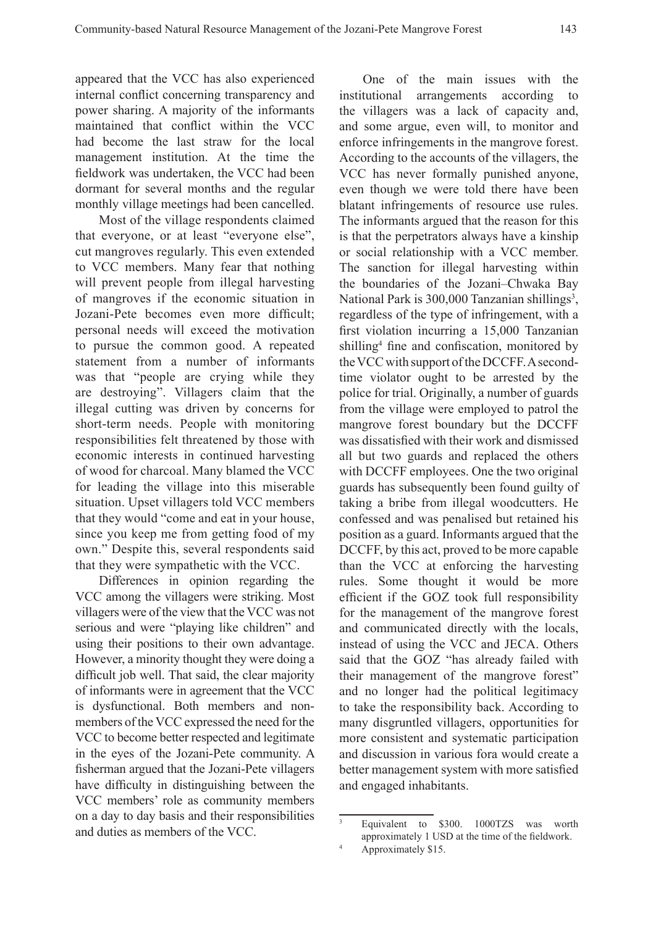appeared that the VCC has also experienced internal conflict concerning transparency and power sharing. A majority of the informants maintained that conflict within the VCC had become the last straw for the local management institution. At the time the fieldwork was undertaken, the VCC had been dormant for several months and the regular monthly village meetings had been cancelled.

Most of the village respondents claimed that everyone, or at least "everyone else", cut mangroves regularly. This even extended to VCC members. Many fear that nothing will prevent people from illegal harvesting of mangroves if the economic situation in Jozani-Pete becomes even more difficult; personal needs will exceed the motivation to pursue the common good. A repeated statement from a number of informants was that "people are crying while they are destroying". Villagers claim that the illegal cutting was driven by concerns for short-term needs. People with monitoring responsibilities felt threatened by those with economic interests in continued harvesting of wood for charcoal. Many blamed the VCC for leading the village into this miserable situation. Upset villagers told VCC members that they would "come and eat in your house, since you keep me from getting food of my own." Despite this, several respondents said that they were sympathetic with the VCC.

Differences in opinion regarding the VCC among the villagers were striking. Most villagers were of the view that the VCC was not serious and were "playing like children" and using their positions to their own advantage. However, a minority thought they were doing a difficult job well. That said, the clear majority of informants were in agreement that the VCC is dysfunctional. Both members and nonmembers of the VCC expressed the need for the VCC to become better respected and legitimate in the eyes of the Jozani-Pete community. A fisherman argued that the Jozani-Pete villagers have difficulty in distinguishing between the VCC members' role as community members on a day to day basis and their responsibilities and duties as members of the VCC.

One of the main issues with the institutional arrangements according to the villagers was a lack of capacity and, and some argue, even will, to monitor and enforce infringements in the mangrove forest. According to the accounts of the villagers, the VCC has never formally punished anyone, even though we were told there have been blatant infringements of resource use rules. The informants argued that the reason for this is that the perpetrators always have a kinship or social relationship with a VCC member. The sanction for illegal harvesting within the boundaries of the Jozani–Chwaka Bay National Park is 300,000 Tanzanian shillings<sup>3</sup>, regardless of the type of infringement, with a first violation incurring a 15,000 Tanzanian shilling<sup>4</sup> fine and confiscation, monitored by the VCC with support of the DCCFF. A secondtime violator ought to be arrested by the police for trial. Originally, a number of guards from the village were employed to patrol the mangrove forest boundary but the DCCFF was dissatisfied with their work and dismissed all but two guards and replaced the others with DCCFF employees. One the two original guards has subsequently been found guilty of taking a bribe from illegal woodcutters. He confessed and was penalised but retained his position as a guard. Informants argued that the DCCFF, by this act, proved to be more capable than the VCC at enforcing the harvesting rules. Some thought it would be more efficient if the GOZ took full responsibility for the management of the mangrove forest and communicated directly with the locals, instead of using the VCC and JECA. Others said that the GOZ "has already failed with their management of the mangrove forest" and no longer had the political legitimacy to take the responsibility back. According to many disgruntled villagers, opportunities for more consistent and systematic participation and discussion in various fora would create a better management system with more satisfied and engaged inhabitants.

<sup>3</sup> Equivalent to \$300. 1000TZS was worth approximately 1 USD at the time of the fieldwork.

<sup>4</sup> Approximately \$15.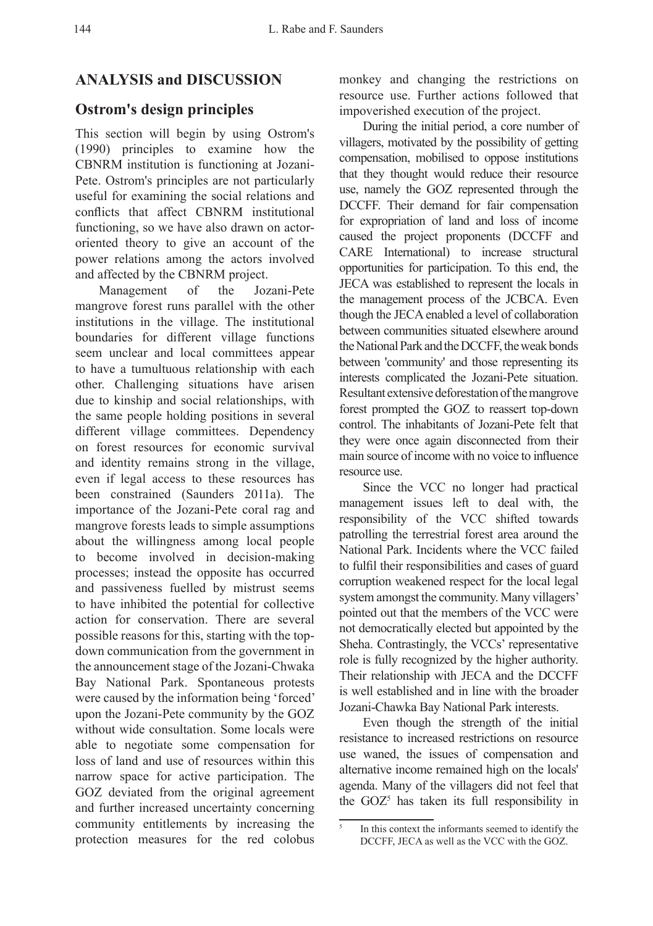# **ANALYSIS and DISCUSSION**

#### **Ostrom's design principles**

This section will begin by using Ostrom's (1990) principles to examine how the CBNRM institution is functioning at Jozani-Pete. Ostrom's principles are not particularly useful for examining the social relations and conflicts that affect CBNRM institutional functioning, so we have also drawn on actororiented theory to give an account of the power relations among the actors involved and affected by the CBNRM project.

Management of the Jozani-Pete mangrove forest runs parallel with the other institutions in the village. The institutional boundaries for different village functions seem unclear and local committees appear to have a tumultuous relationship with each other. Challenging situations have arisen due to kinship and social relationships, with the same people holding positions in several different village committees. Dependency on forest resources for economic survival and identity remains strong in the village, even if legal access to these resources has been constrained (Saunders 2011a). The importance of the Jozani-Pete coral rag and mangrove forests leads to simple assumptions about the willingness among local people to become involved in decision-making processes; instead the opposite has occurred and passiveness fuelled by mistrust seems to have inhibited the potential for collective action for conservation. There are several possible reasons for this, starting with the topdown communication from the government in the announcement stage of the Jozani-Chwaka Bay National Park. Spontaneous protests were caused by the information being 'forced' upon the Jozani-Pete community by the GOZ without wide consultation. Some locals were able to negotiate some compensation for loss of land and use of resources within this narrow space for active participation. The GOZ deviated from the original agreement and further increased uncertainty concerning community entitlements by increasing the protection measures for the red colobus

monkey and changing the restrictions on resource use. Further actions followed that impoverished execution of the project.

During the initial period, a core number of villagers, motivated by the possibility of getting compensation, mobilised to oppose institutions that they thought would reduce their resource use, namely the GOZ represented through the DCCFF. Their demand for fair compensation for expropriation of land and loss of income caused the project proponents (DCCFF and CARE International) to increase structural opportunities for participation. To this end, the JECA was established to represent the locals in the management process of the JCBCA. Even though the JECA enabled a level of collaboration between communities situated elsewhere around the National Park and the DCCFF, the weak bonds between 'community' and those representing its interests complicated the Jozani-Pete situation. Resultant extensive deforestation of the mangrove forest prompted the GOZ to reassert top-down control. The inhabitants of Jozani-Pete felt that they were once again disconnected from their main source of income with no voice to influence resource use.

Since the VCC no longer had practical management issues left to deal with, the responsibility of the VCC shifted towards patrolling the terrestrial forest area around the National Park. Incidents where the VCC failed to fulfil their responsibilities and cases of guard corruption weakened respect for the local legal system amongst the community. Many villagers' pointed out that the members of the VCC were not democratically elected but appointed by the Sheha. Contrastingly, the VCCs' representative role is fully recognized by the higher authority. Their relationship with JECA and the DCCFF is well established and in line with the broader Jozani-Chawka Bay National Park interests.

Even though the strength of the initial resistance to increased restrictions on resource use waned, the issues of compensation and alternative income remained high on the locals' agenda. Many of the villagers did not feel that the GOZ<sup>5</sup> has taken its full responsibility in

In this context the informants seemed to identify the DCCFF, JECA as well as the VCC with the GOZ.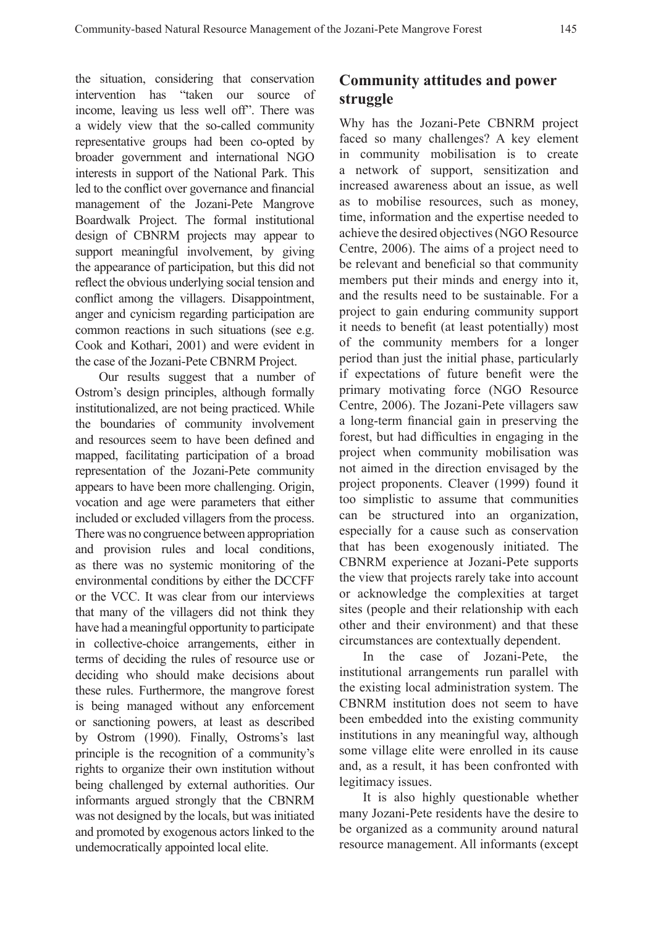intervention has "taken our source of income, leaving us less well off". There was a widely view that the so-called community representative groups had been co-opted by broader government and international NGO interests in support of the National Park. This led to the conflict over governance and financial management of the Jozani-Pete Mangrove Boardwalk Project. The formal institutional design of CBNRM projects may appear to support meaningful involvement, by giving the appearance of participation, but this did not reflect the obvious underlying social tension and conflict among the villagers. Disappointment, anger and cynicism regarding participation are common reactions in such situations (see e.g. Cook and Kothari, 2001) and were evident in the case of the Jozani-Pete CBNRM Project.

Our results suggest that a number of Ostrom's design principles, although formally institutionalized, are not being practiced. While the boundaries of community involvement and resources seem to have been defined and mapped, facilitating participation of a broad representation of the Jozani-Pete community appears to have been more challenging. Origin, vocation and age were parameters that either included or excluded villagers from the process. There was no congruence between appropriation and provision rules and local conditions, as there was no systemic monitoring of the environmental conditions by either the DCCFF or the VCC. It was clear from our interviews that many of the villagers did not think they have had a meaningful opportunity to participate in collective-choice arrangements, either in terms of deciding the rules of resource use or deciding who should make decisions about these rules. Furthermore, the mangrove forest is being managed without any enforcement or sanctioning powers, at least as described by Ostrom (1990). Finally, Ostroms's last principle is the recognition of a community's rights to organize their own institution without being challenged by external authorities. Our informants argued strongly that the CBNRM was not designed by the locals, but was initiated and promoted by exogenous actors linked to the undemocratically appointed local elite.

# **Community attitudes and power**

Why has the Jozani-Pete CBNRM project faced so many challenges? A key element in community mobilisation is to create a network of support, sensitization and increased awareness about an issue, as well as to mobilise resources, such as money, time, information and the expertise needed to achieve the desired objectives (NGO Resource Centre, 2006). The aims of a project need to be relevant and beneficial so that community members put their minds and energy into it, and the results need to be sustainable. For a project to gain enduring community support it needs to benefit (at least potentially) most of the community members for a longer period than just the initial phase, particularly if expectations of future benefit were the primary motivating force (NGO Resource Centre, 2006). The Jozani-Pete villagers saw a long-term financial gain in preserving the forest, but had difficulties in engaging in the project when community mobilisation was not aimed in the direction envisaged by the project proponents. Cleaver (1999) found it too simplistic to assume that communities can be structured into an organization, especially for a cause such as conservation that has been exogenously initiated. The CBNRM experience at Jozani-Pete supports the view that projects rarely take into account or acknowledge the complexities at target sites (people and their relationship with each other and their environment) and that these circumstances are contextually dependent.

In the case of Jozani-Pete, the institutional arrangements run parallel with the existing local administration system. The CBNRM institution does not seem to have been embedded into the existing community institutions in any meaningful way, although some village elite were enrolled in its cause and, as a result, it has been confronted with legitimacy issues.

It is also highly questionable whether many Jozani-Pete residents have the desire to be organized as a community around natural resource management. All informants (except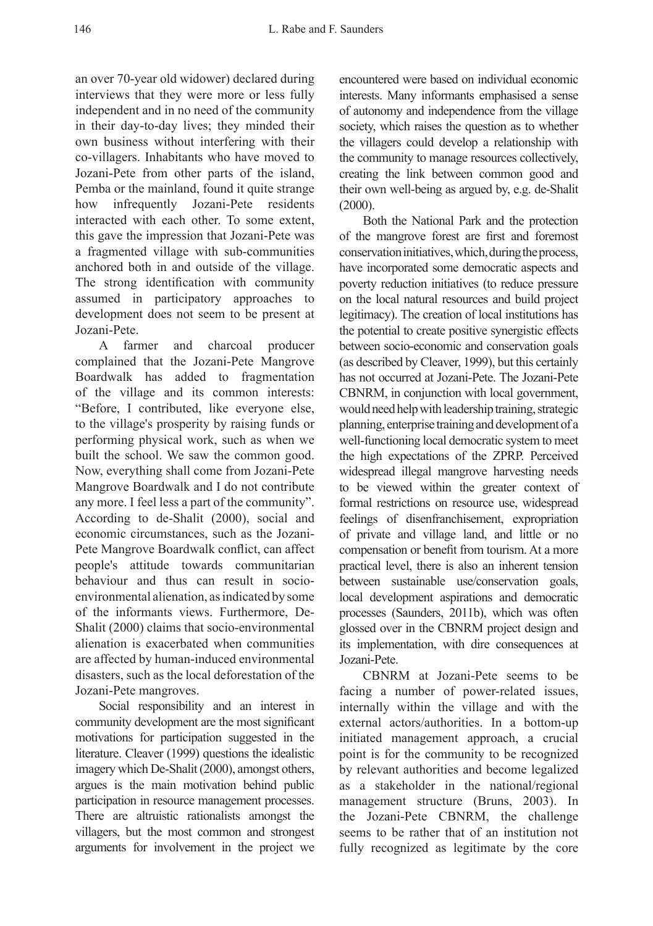an over 70-year old widower) declared during interviews that they were more or less fully independent and in no need of the community in their day-to-day lives; they minded their own business without interfering with their co-villagers. Inhabitants who have moved to Jozani-Pete from other parts of the island, Pemba or the mainland, found it quite strange how infrequently Jozani-Pete residents interacted with each other. To some extent, this gave the impression that Jozani-Pete was a fragmented village with sub-communities anchored both in and outside of the village. The strong identification with community assumed in participatory approaches to development does not seem to be present at Jozani-Pete.

A farmer and charcoal producer complained that the Jozani-Pete Mangrove Boardwalk has added to fragmentation of the village and its common interests: "Before, I contributed, like everyone else, to the village's prosperity by raising funds or performing physical work, such as when we built the school. We saw the common good. Now, everything shall come from Jozani-Pete Mangrove Boardwalk and I do not contribute any more. I feel less a part of the community". According to de-Shalit (2000), social and economic circumstances, such as the Jozani-Pete Mangrove Boardwalk conflict, can affect people's attitude towards communitarian behaviour and thus can result in socioenvironmental alienation, as indicated by some of the informants views. Furthermore, De-Shalit (2000) claims that socio-environmental alienation is exacerbated when communities are affected by human-induced environmental disasters, such as the local deforestation of the Jozani-Pete mangroves.

Social responsibility and an interest in community development are the most significant motivations for participation suggested in the literature. Cleaver (1999) questions the idealistic imagery which De-Shalit (2000), amongst others, argues is the main motivation behind public participation in resource management processes. There are altruistic rationalists amongst the villagers, but the most common and strongest arguments for involvement in the project we encountered were based on individual economic interests. Many informants emphasised a sense of autonomy and independence from the village society, which raises the question as to whether the villagers could develop a relationship with the community to manage resources collectively, creating the link between common good and their own well-being as argued by, e.g. de-Shalit (2000).

Both the National Park and the protection of the mangrove forest are first and foremost conservation initiatives, which, during the process, have incorporated some democratic aspects and poverty reduction initiatives (to reduce pressure on the local natural resources and build project legitimacy). The creation of local institutions has the potential to create positive synergistic effects between socio-economic and conservation goals (as described by Cleaver, 1999), but this certainly has not occurred at Jozani-Pete. The Jozani-Pete CBNRM, in conjunction with local government, would need help with leadership training, strategic planning, enterprise training and development of a well-functioning local democratic system to meet the high expectations of the ZPRP. Perceived widespread illegal mangrove harvesting needs to be viewed within the greater context of formal restrictions on resource use, widespread feelings of disenfranchisement, expropriation of private and village land, and little or no compensation or benefit from tourism. At a more practical level, there is also an inherent tension between sustainable use/conservation goals, local development aspirations and democratic processes (Saunders, 2011b), which was often glossed over in the CBNRM project design and its implementation, with dire consequences at Jozani-Pete.

CBNRM at Jozani-Pete seems to be facing a number of power-related issues, internally within the village and with the external actors/authorities. In a bottom-up initiated management approach, a crucial point is for the community to be recognized by relevant authorities and become legalized as a stakeholder in the national/regional management structure (Bruns, 2003). In the Jozani-Pete CBNRM, the challenge seems to be rather that of an institution not fully recognized as legitimate by the core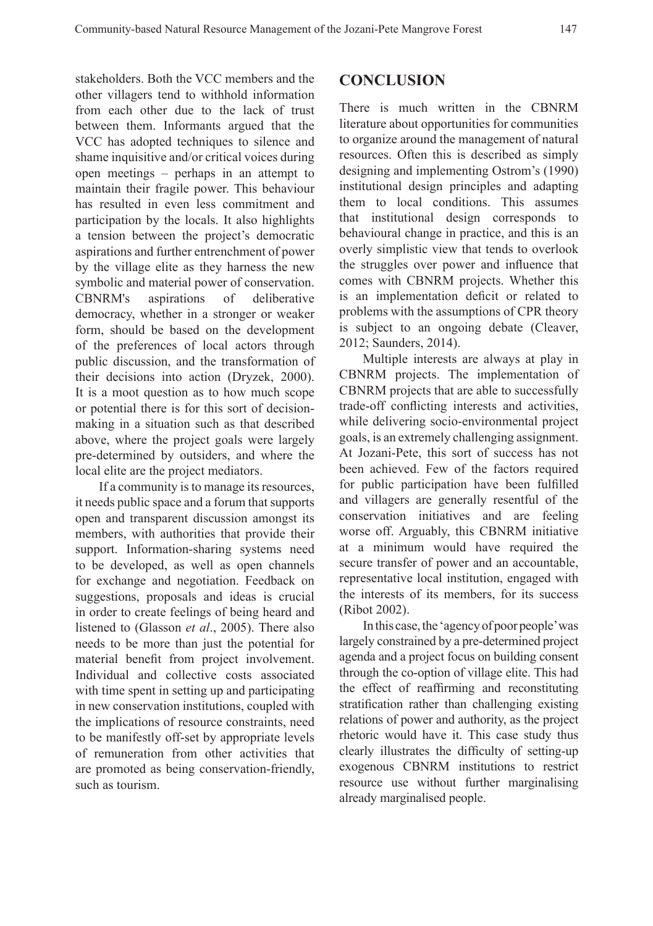stakeholders. Both the VCC members and the other villagers tend to withhold information from each other due to the lack of trust between them. Informants argued that the VCC has adopted techniques to silence and shame inquisitive and/or critical voices during open meetings – perhaps in an attempt to maintain their fragile power. This behaviour has resulted in even less commitment and participation by the locals. It also highlights a tension between the project's democratic aspirations and further entrenchment of power by the village elite as they harness the new symbolic and material power of conservation. CBNRM's aspirations of deliberative democracy, whether in a stronger or weaker form, should be based on the development of the preferences of local actors through public discussion, and the transformation of their decisions into action (Dryzek, 2000). It is a moot question as to how much scope or potential there is for this sort of decisionmaking in a situation such as that described above, where the project goals were largely pre-determined by outsiders, and where the local elite are the project mediators.

If a community is to manage its resources, it needs public space and a forum that supports open and transparent discussion amongst its members, with authorities that provide their support. Information-sharing systems need to be developed, as well as open channels for exchange and negotiation. Feedback on suggestions, proposals and ideas is crucial in order to create feelings of being heard and listened to (Glasson *et al*., 2005). There also needs to be more than just the potential for material benefit from project involvement. Individual and collective costs associated with time spent in setting up and participating in new conservation institutions, coupled with the implications of resource constraints, need to be manifestly off-set by appropriate levels of remuneration from other activities that are promoted as being conservation-friendly, such as tourism.

#### **CONCLUSION**

There is much written in the CBNRM literature about opportunities for communities to organize around the management of natural resources. Often this is described as simply designing and implementing Ostrom's (1990) institutional design principles and adapting them to local conditions. This assumes that institutional design corresponds to behavioural change in practice, and this is an overly simplistic view that tends to overlook the struggles over power and influence that comes with CBNRM projects. Whether this is an implementation deficit or related to problems with the assumptions of CPR theory is subject to an ongoing debate (Cleaver, 2012; Saunders, 2014).

Multiple interests are always at play in CBNRM projects. The implementation of CBNRM projects that are able to successfully trade-off conflicting interests and activities, while delivering socio-environmental project goals, is an extremely challenging assignment. At Jozani-Pete, this sort of success has not been achieved. Few of the factors required for public participation have been fulfilled and villagers are generally resentful of the conservation initiatives and are feeling worse off. Arguably, this CBNRM initiative at a minimum would have required the secure transfer of power and an accountable, representative local institution, engaged with the interests of its members, for its success (Ribot 2002).

In this case, the 'agency of poor people' was largely constrained by a pre-determined project agenda and a project focus on building consent through the co-option of village elite. This had the effect of reaffirming and reconstituting stratification rather than challenging existing relations of power and authority, as the project rhetoric would have it. This case study thus clearly illustrates the difficulty of setting-up exogenous CBNRM institutions to restrict resource use without further marginalising already marginalised people.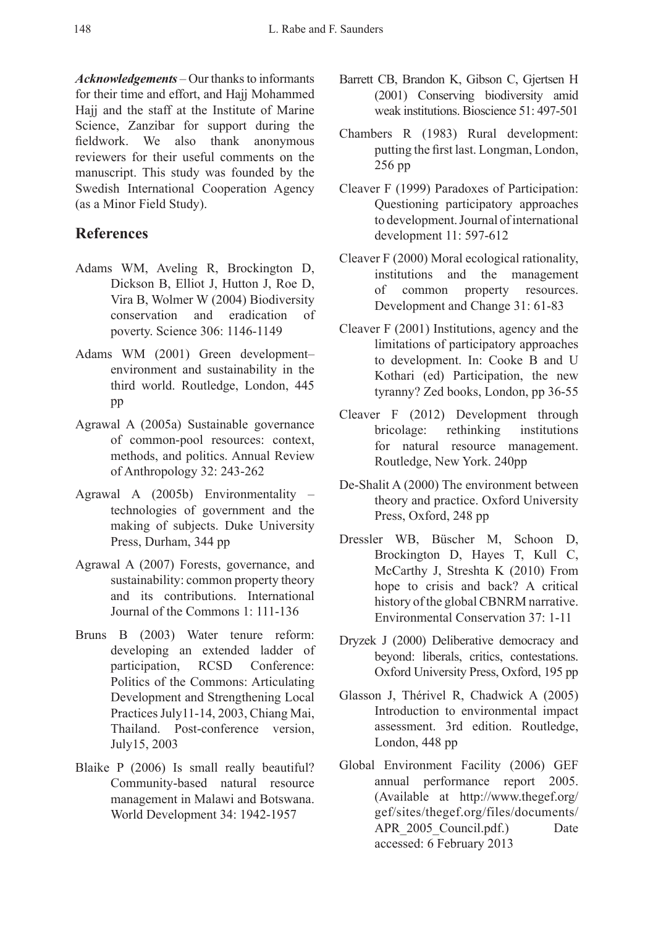*Acknowledgements* – Our thanks to informants for their time and effort, and Hajj Mohammed Hajj and the staff at the Institute of Marine Science, Zanzibar for support during the fieldwork. We also thank anonymous reviewers for their useful comments on the manuscript. This study was founded by the Swedish International Cooperation Agency (as a Minor Field Study).

#### **References**

- Adams WM, Aveling R, Brockington D, Dickson B, Elliot J, Hutton J, Roe D, Vira B, Wolmer W (2004) Biodiversity conservation and eradication of poverty. Science 306: 1146-1149
- Adams WM (2001) Green development– environment and sustainability in the third world. Routledge, London, 445 pp
- Agrawal A (2005a) Sustainable governance of common-pool resources: context, methods, and politics. Annual Review of Anthropology 32: 243-262
- Agrawal A (2005b) Environmentality technologies of government and the making of subjects. Duke University Press, Durham, 344 pp
- Agrawal A (2007) Forests, governance, and sustainability: common property theory and its contributions. International Journal of the Commons 1: 111-136
- Bruns B (2003) Water tenure reform: developing an extended ladder of participation, RCSD Conference: Politics of the Commons: Articulating Development and Strengthening Local Practices July11-14, 2003, Chiang Mai, Thailand. Post-conference version, July15, 2003
- Blaike P (2006) Is small really beautiful? Community-based natural resource management in Malawi and Botswana. World Development 34: 1942-1957
- Barrett CB, Brandon K, Gibson C, Gjertsen H (2001) Conserving biodiversity amid weak institutions. Bioscience 51: 497-501
- Chambers R (1983) Rural development: putting the first last. Longman, London, 256 pp
- Cleaver F (1999) Paradoxes of Participation: Questioning participatory approaches to development. Journal of international development 11: 597-612
- Cleaver F (2000) Moral ecological rationality, institutions and the management of common property resources. Development and Change 31: 61-83
- Cleaver F (2001) Institutions, agency and the limitations of participatory approaches to development. In: Cooke B and U Kothari (ed) Participation, the new tyranny? Zed books, London, pp 36-55
- Cleaver F (2012) Development through bricolage: rethinking institutions for natural resource management. Routledge, New York. 240pp
- De-Shalit A (2000) The environment between theory and practice. Oxford University Press, Oxford, 248 pp
- Dressler WB, Büscher M, Schoon D, Brockington D, Hayes T, Kull C, McCarthy J, Streshta K (2010) From hope to crisis and back? A critical history of the global CBNRM narrative. Environmental Conservation 37: 1-11
- Dryzek J (2000) Deliberative democracy and beyond: liberals, critics, contestations. Oxford University Press, Oxford, 195 pp
- Glasson J, Thérivel R, Chadwick A (2005) Introduction to environmental impact assessment. 3rd edition. Routledge, London, 448 pp
- Global Environment Facility (2006) GEF annual performance report 2005. (Available at http://www.thegef.org/ gef/sites/thegef.org/files/documents/ APR 2005 Council.pdf.) Date accessed: 6 February 2013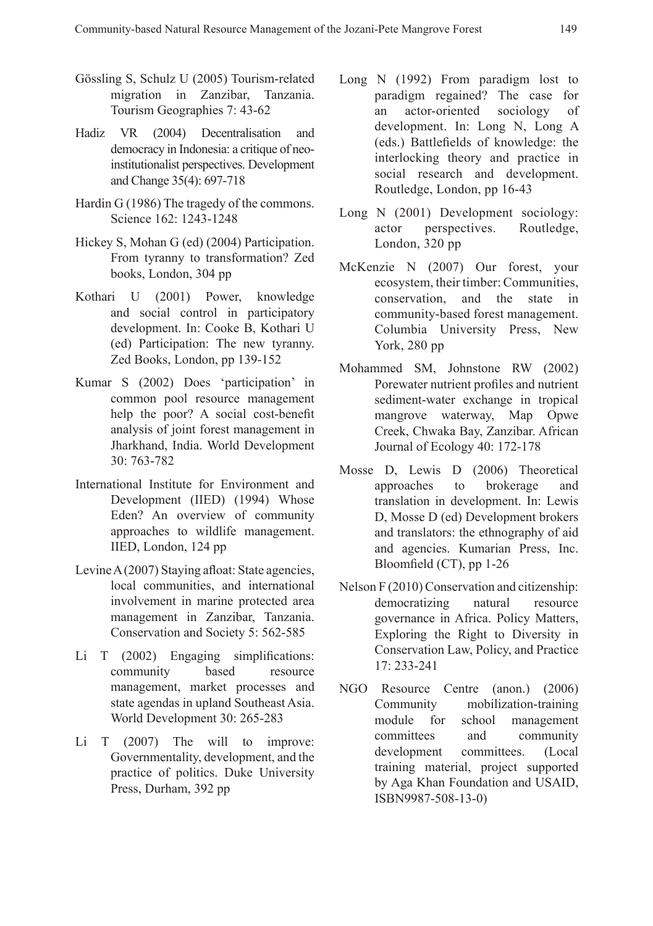- Gössling S, Schulz U (2005) Tourism-related migration in Zanzibar, Tanzania. Tourism Geographies 7: 43-62
- Hadiz VR (2004) Decentralisation and democracy in Indonesia: a critique of neoinstitutionalist perspectives. Development and Change 35(4): 697-718
- Hardin G (1986) The tragedy of the commons. Science 162: 1243-1248
- Hickey S, Mohan G (ed) (2004) Participation. From tyranny to transformation? Zed books, London, 304 pp
- Kothari U (2001) Power, knowledge and social control in participatory development. In: Cooke B, Kothari U (ed) Participation: The new tyranny. Zed Books, London, pp 139-152
- Kumar S (2002) Does 'participation' in common pool resource management help the poor? A social cost-benefit analysis of joint forest management in Jharkhand, India. World Development 30: 763-782
- International Institute for Environment and Development (IIED) (1994) Whose Eden? An overview of community approaches to wildlife management. IIED, London, 124 pp
- Levine A (2007) Staying afloat: State agencies, local communities, and international involvement in marine protected area management in Zanzibar, Tanzania. Conservation and Society 5: 562-585
- Li T (2002) Engaging simplifications: community based resource management, market processes and state agendas in upland Southeast Asia. World Development 30: 265-283
- Li T (2007) The will to improve: Governmentality, development, and the practice of politics. Duke University Press, Durham, 392 pp
- Long N (1992) From paradigm lost to paradigm regained? The case for an actor-oriented sociology of development. In: Long N, Long A (eds.) Battlefields of knowledge: the interlocking theory and practice in social research and development. Routledge, London, pp 16-43
- Long N (2001) Development sociology: actor perspectives. Routledge, London, 320 pp
- McKenzie N (2007) Our forest, your ecosystem, their timber: Communities, conservation, and the state in community-based forest management. Columbia University Press, New York, 280 pp
- Mohammed SM, Johnstone RW (2002) Porewater nutrient profiles and nutrient sediment-water exchange in tropical mangrove waterway, Map Opwe Creek, Chwaka Bay, Zanzibar. African Journal of Ecology 40: 172-178
- Mosse D, Lewis D (2006) Theoretical approaches to brokerage and translation in development. In: Lewis D, Mosse D (ed) Development brokers and translators: the ethnography of aid and agencies. Kumarian Press, Inc. Bloomfield (CT), pp 1-26
- Nelson F (2010) Conservation and citizenship: democratizing natural resource governance in Africa. Policy Matters, Exploring the Right to Diversity in Conservation Law, Policy, and Practice 17: 233-241
- NGO Resource Centre (anon.) (2006) Community mobilization-training module for school management committees and community development committees. (Local training material, project supported by Aga Khan Foundation and USAID, ISBN9987-508-13-0)